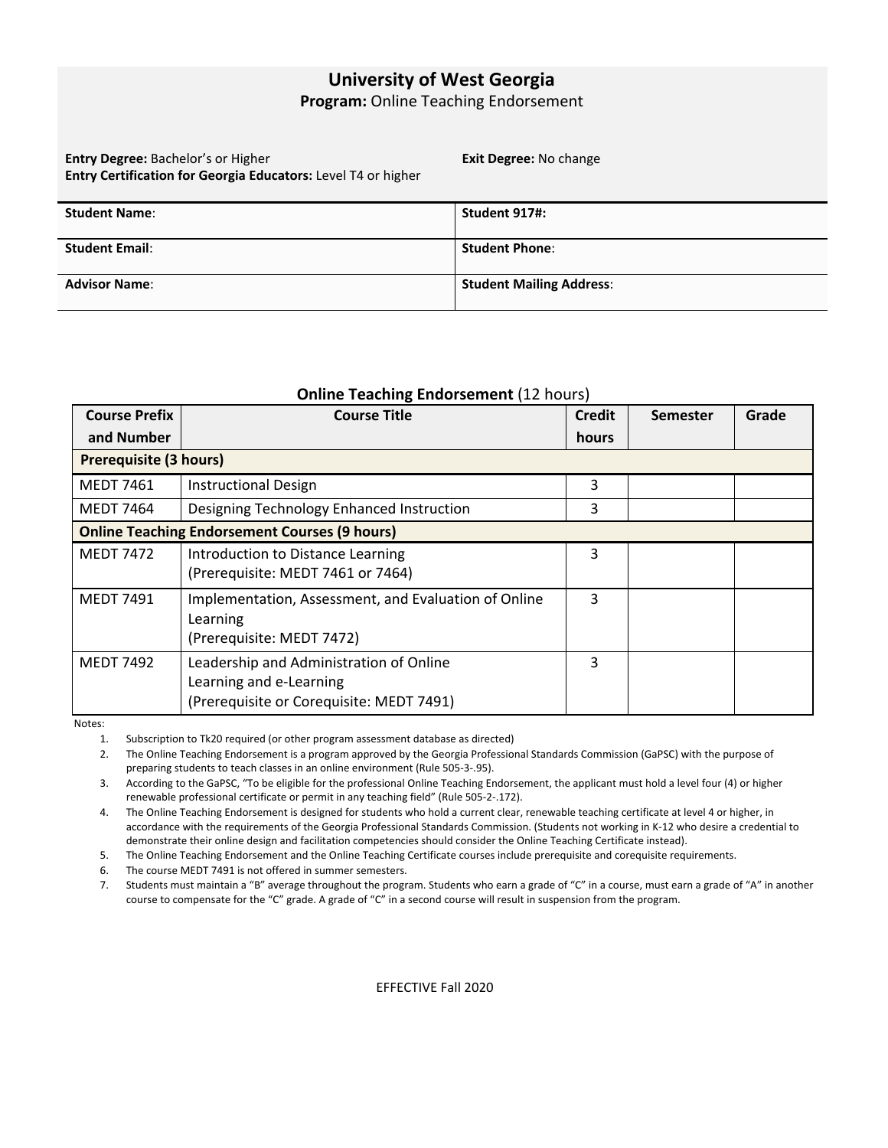## **University of West Georgia**

**Program:** Online Teaching Endorsement

**Entry Degree:** Bachelor's or Higher **Entry Certification for Georgia Educators:** Level T4 or higher **Exit Degree:** No change

| <b>Student Name:</b>  | Student 917#:                   |
|-----------------------|---------------------------------|
|                       |                                 |
| <b>Student Email:</b> | <b>Student Phone:</b>           |
|                       |                                 |
| <b>Advisor Name:</b>  | <b>Student Mailing Address:</b> |
|                       |                                 |

## **Online Teaching Endorsement** (12 hours)

| <b>Course Prefix</b>                                 | <b>Course Title</b>                                  | <b>Credit</b> | Semester | Grade |
|------------------------------------------------------|------------------------------------------------------|---------------|----------|-------|
| and Number                                           |                                                      | hours         |          |       |
| <b>Prerequisite (3 hours)</b>                        |                                                      |               |          |       |
| <b>MEDT 7461</b>                                     | <b>Instructional Design</b>                          | 3             |          |       |
| MEDT 7464                                            | Designing Technology Enhanced Instruction            | 3             |          |       |
| <b>Online Teaching Endorsement Courses (9 hours)</b> |                                                      |               |          |       |
| <b>MEDT 7472</b>                                     | Introduction to Distance Learning                    | 3             |          |       |
|                                                      | (Prerequisite: MEDT 7461 or 7464)                    |               |          |       |
| <b>MEDT 7491</b>                                     | Implementation, Assessment, and Evaluation of Online | 3             |          |       |
|                                                      | Learning                                             |               |          |       |
|                                                      | (Prerequisite: MEDT 7472)                            |               |          |       |
| <b>MEDT 7492</b>                                     | Leadership and Administration of Online              | 3             |          |       |
|                                                      | Learning and e-Learning                              |               |          |       |
|                                                      | (Prerequisite or Corequisite: MEDT 7491)             |               |          |       |

Notes:

1. Subscription to Tk20 required (or other program assessment database as directed)

2. The Online Teaching Endorsement is a program approved by the Georgia Professional Standards Commission (GaPSC) with the purpose of preparing students to teach classes in an online environment (Rule 505-3-.95).

3. According to the GaPSC, "To be eligible for the professional Online Teaching Endorsement, the applicant must hold a level four (4) or higher renewable professional certificate or permit in any teaching field" (Rule 505-2-.172).

4. The Online Teaching Endorsement is designed for students who hold a current clear, renewable teaching certificate at level 4 or higher, in accordance with the requirements of the Georgia Professional Standards Commission. (Students not working in K-12 who desire a credential to demonstrate their online design and facilitation competencies should consider the Online Teaching Certificate instead).

5. The Online Teaching Endorsement and the Online Teaching Certificate courses include prerequisite and corequisite requirements.

6. The course MEDT 7491 is not offered in summer semesters.

7. Students must maintain a "B" average throughout the program. Students who earn a grade of "C" in a course, must earn a grade of "A" in another course to compensate for the "C" grade. A grade of "C" in a second course will result in suspension from the program.

EFFECTIVE Fall 2020